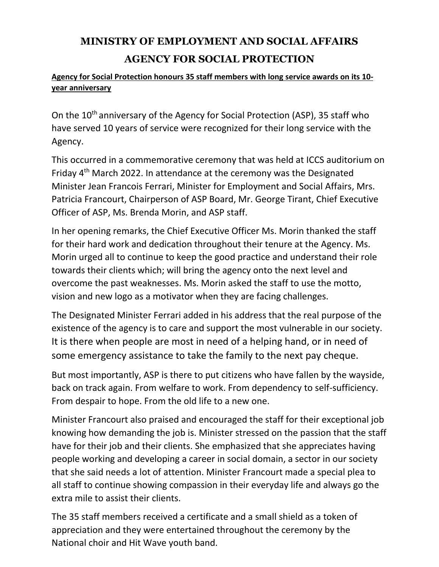## **MINISTRY OF EMPLOYMENT AND SOCIAL AFFAIRS AGENCY FOR SOCIAL PROTECTION**

## **Agency for Social Protection honours 35 staff members with long service awards on its 10 year anniversary**

On the 10<sup>th</sup> anniversary of the Agency for Social Protection (ASP), 35 staff who have served 10 years of service were recognized for their long service with the Agency.

This occurred in a commemorative ceremony that was held at ICCS auditorium on Friday 4th March 2022. In attendance at the ceremony was the Designated Minister Jean Francois Ferrari, Minister for Employment and Social Affairs, Mrs. Patricia Francourt, Chairperson of ASP Board, Mr. George Tirant, Chief Executive Officer of ASP, Ms. Brenda Morin, and ASP staff.

In her opening remarks, the Chief Executive Officer Ms. Morin thanked the staff for their hard work and dedication throughout their tenure at the Agency. Ms. Morin urged all to continue to keep the good practice and understand their role towards their clients which; will bring the agency onto the next level and overcome the past weaknesses. Ms. Morin asked the staff to use the motto, vision and new logo as a motivator when they are facing challenges.

The Designated Minister Ferrari added in his address that the real purpose of the existence of the agency is to care and support the most vulnerable in our society. It is there when people are most in need of a helping hand, or in need of some emergency assistance to take the family to the next pay cheque.

But most importantly, ASP is there to put citizens who have fallen by the wayside, back on track again. From welfare to work. From dependency to self-sufficiency. From despair to hope. From the old life to a new one.

Minister Francourt also praised and encouraged the staff for their exceptional job knowing how demanding the job is. Minister stressed on the passion that the staff have for their job and their clients. She emphasized that she appreciates having people working and developing a career in social domain, a sector in our society that she said needs a lot of attention. Minister Francourt made a special plea to all staff to continue showing compassion in their everyday life and always go the extra mile to assist their clients.

The 35 staff members received a certificate and a small shield as a token of appreciation and they were entertained throughout the ceremony by the National choir and Hit Wave youth band.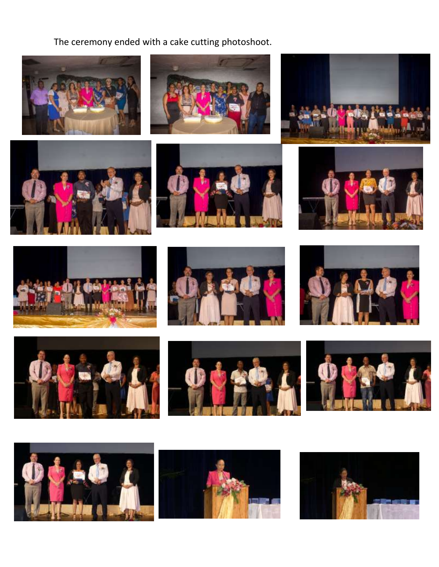The ceremony ended with a cake cutting photoshoot.